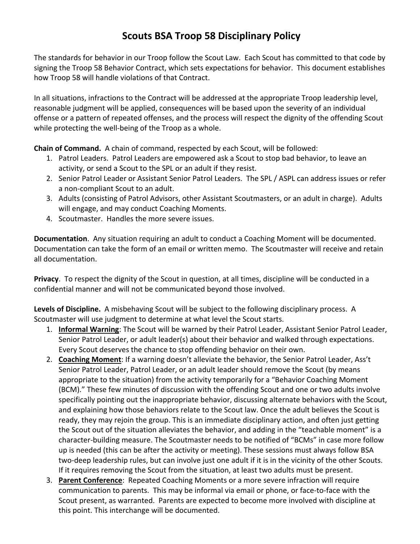## **Scouts BSA Troop 58 Disciplinary Policy**

The standards for behavior in our Troop follow the Scout Law. Each Scout has committed to that code by signing the Troop 58 Behavior Contract, which sets expectations for behavior. This document establishes how Troop 58 will handle violations of that Contract.

In all situations, infractions to the Contract will be addressed at the appropriate Troop leadership level, reasonable judgment will be applied, consequences will be based upon the severity of an individual offense or a pattern of repeated offenses, and the process will respect the dignity of the offending Scout while protecting the well-being of the Troop as a whole.

**Chain of Command.** A chain of command, respected by each Scout, will be followed:

- 1. Patrol Leaders. Patrol Leaders are empowered ask a Scout to stop bad behavior, to leave an activity, or send a Scout to the SPL or an adult if they resist.
- 2. Senior Patrol Leader or Assistant Senior Patrol Leaders. The SPL / ASPL can address issues or refer a non‐compliant Scout to an adult.
- 3. Adults (consisting of Patrol Advisors, other Assistant Scoutmasters, or an adult in charge). Adults will engage, and may conduct Coaching Moments.
- 4. Scoutmaster. Handles the more severe issues.

**Documentation**. Any situation requiring an adult to conduct a Coaching Moment will be documented. Documentation can take the form of an email or written memo. The Scoutmaster will receive and retain all documentation.

**Privacy**. To respect the dignity of the Scout in question, at all times, discipline will be conducted in a confidential manner and will not be communicated beyond those involved.

**Levels of Discipline.** A misbehaving Scout will be subject to the following disciplinary process. A Scoutmaster will use judgment to determine at what level the Scout starts.

- 1. **Informal Warning**: The Scout will be warned by their Patrol Leader, Assistant Senior Patrol Leader, Senior Patrol Leader, or adult leader(s) about their behavior and walked through expectations. Every Scout deserves the chance to stop offending behavior on their own.
- 2. **Coaching Moment**: If a warning doesn't alleviate the behavior, the Senior Patrol Leader, Ass't Senior Patrol Leader, Patrol Leader, or an adult leader should remove the Scout (by means appropriate to the situation) from the activity temporarily for a "Behavior Coaching Moment (BCM)." These few minutes of discussion with the offending Scout and one or two adults involve specifically pointing out the inappropriate behavior, discussing alternate behaviors with the Scout, and explaining how those behaviors relate to the Scout law. Once the adult believes the Scout is ready, they may rejoin the group. This is an immediate disciplinary action, and often just getting the Scout out of the situation alleviates the behavior, and adding in the "teachable moment" is a character‐building measure. The Scoutmaster needs to be notified of "BCMs" in case more follow up is needed (this can be after the activity or meeting). These sessions must always follow BSA two-deep leadership rules, but can involve just one adult if it is in the vicinity of the other Scouts. If it requires removing the Scout from the situation, at least two adults must be present.
- 3. **Parent Conference**: Repeated Coaching Moments or a more severe infraction will require communication to parents. This may be informal via email or phone, or face‐to‐face with the Scout present, as warranted. Parents are expected to become more involved with discipline at this point. This interchange will be documented.